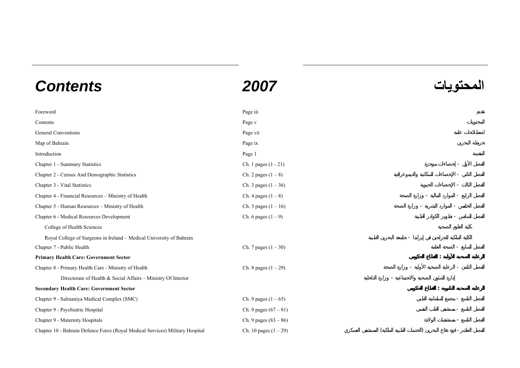## **المحتويات** *2007 Contents*

| Foreword                                                                      | Page iii                |  |  |
|-------------------------------------------------------------------------------|-------------------------|--|--|
| Contents                                                                      | Page v                  |  |  |
| <b>General Conventions</b>                                                    | Page vii                |  |  |
| Map of Bahrain                                                                | Page ix                 |  |  |
| Introduction                                                                  | Page 1                  |  |  |
| Chapter 1 - Summary Statistics                                                | Ch. 1 pages (1 - 21)    |  |  |
| Chapter 2 - Census And Demographic Statistics                                 | Ch. 2 pages $(1 - 8)$   |  |  |
| Chapter 3 - Vital Statistics                                                  | Ch. 3 pages $(1 - 36)$  |  |  |
| Chapter 4 - Financial Resources - Ministry of Health                          | Ch. 4 pages $(1 - 8)$   |  |  |
| Chapter 5 - Human Resources - Ministry of Health                              | Ch. 5 pages $(1 - 16)$  |  |  |
| Chapter 6 - Medical Resources Development                                     | Ch. 6 pages $(1 – 9)$   |  |  |
| College of Health Sciences                                                    |                         |  |  |
| Royal College of Surgeons in Ireland - Medical University of Bahrain          |                         |  |  |
| Chapter 7 - Public Health                                                     | Ch. 7 pages $(1 - 30)$  |  |  |
| <b>Primary Health Care: Government Sector</b>                                 |                         |  |  |
| Chapter 8 - Primary Health Care - Ministry of Health                          | Ch. 8 pages $(1 - 29)$  |  |  |
| Directorate of Health & Social Affairs - Ministry Of Interior                 |                         |  |  |
| <b>Secondary Health Care: Government Sector</b>                               |                         |  |  |
| Chapter 9 - Salmaniya Medical Complex (SMC)                                   | Ch. 9 pages $(1 - 65)$  |  |  |
| Chapter 9 - Psychiatric Hospital                                              | Ch. 9 pages $(67 - 81)$ |  |  |
| Chapter 9 - Maternity Hospitals                                               | Ch. 9 pages $(83 - 86)$ |  |  |
| Chapter 10 - Bahrain Defence Force (Royal Medical Services) Military Hospital | Ch. 10 pages $(1 – 29)$ |  |  |